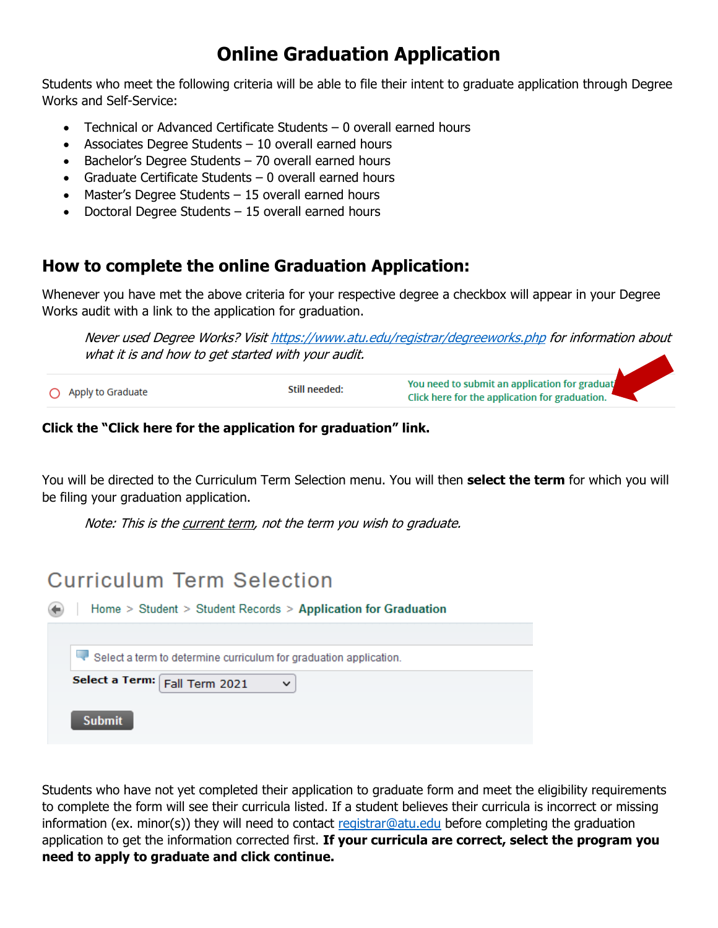## **Online Graduation Application**

Students who meet the following criteria will be able to file their intent to graduate application through Degree Works and Self-Service:

- Technical or Advanced Certificate Students 0 overall earned hours
- Associates Degree Students 10 overall earned hours
- Bachelor's Degree Students 70 overall earned hours
- Graduate Certificate Students 0 overall earned hours
- Master's Degree Students 15 overall earned hours
- Doctoral Degree Students 15 overall earned hours

### **How to complete the online Graduation Application:**

Whenever you have met the above criteria for your respective degree a checkbox will appear in your Degree Works audit with a link to the application for graduation.

Never used Degree Works? Visit https://www.atu.edu/registrar/degreeworks.php for information about what it is and how to get started with your audit.

You need to submit an application for graduat Still needed: Apply to Graduate Click here for the application for graduation.

#### **Click the "Click here for the application for graduation" link.**

You will be directed to the Curriculum Term Selection menu. You will then **select the term** for which you will be filing your graduation application.

Note: This is the current term, not the term you wish to graduate.

## **Curriculum Term Selection**

| Home > Student > Student Records > Application for Graduation     |  |  |
|-------------------------------------------------------------------|--|--|
| Select a term to determine curriculum for graduation application. |  |  |
| Select a Term: Fall Term 2021<br>$\checkmark$                     |  |  |
| <b>Submit</b>                                                     |  |  |

Students who have not yet completed their application to graduate form and meet the eligibility requirements to complete the form will see their curricula listed. If a student believes their curricula is incorrect or missing information (ex. minor(s)) they will need to contact registrar@atu.edu before completing the graduation application to get the information corrected first. **If your curricula are correct, select the program you need to apply to graduate and click continue.**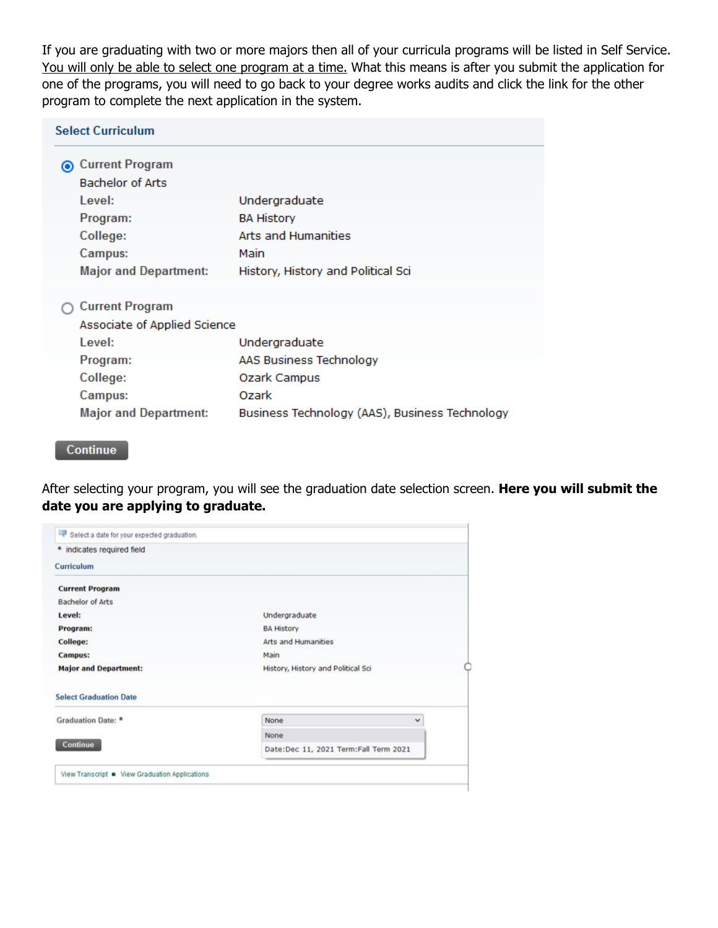If you are graduating with two or more majors then all of your curricula programs will be listed in Self Service. You will only be able to select one program at a time. What this means is after you submit the application for one of the programs, you will need to go back to your degree works audits and click the link for the other program to complete the next application in the system.

| <b>Select Curriculum</b>     |                              |                                                |
|------------------------------|------------------------------|------------------------------------------------|
| <b>◎ Current Program</b>     |                              |                                                |
| <b>Bachelor of Arts</b>      |                              |                                                |
| Level:                       |                              | Undergraduate                                  |
| Program:                     |                              | <b>BA History</b>                              |
| College:                     |                              | Arts and Humanities                            |
| Campus:                      |                              | Main                                           |
| <b>Major and Department:</b> |                              | History, History and Political Sci             |
| <b>Current Program</b>       |                              |                                                |
|                              | Associate of Applied Science |                                                |
| Level:                       |                              | Undergraduate                                  |
| Program:                     |                              | AAS Business Technology                        |
| College:                     |                              | Ozark Campus                                   |
| Campus:                      |                              | Ozark                                          |
| <b>Major and Department:</b> |                              | Business Technology (AAS), Business Technology |

Continue

After selecting your program, you will see the graduation date selection screen. **Here you will submit the date you are applying to graduate.** 

| Select a date for your expected graduation.    |                                       |  |
|------------------------------------------------|---------------------------------------|--|
| * indicates required field                     |                                       |  |
| Curriculum                                     |                                       |  |
| <b>Current Program</b>                         |                                       |  |
| <b>Bachelor of Arts</b>                        |                                       |  |
| Level:                                         | Undergraduate                         |  |
| Program:                                       | <b>BA History</b>                     |  |
| College:                                       | <b>Arts and Humanities</b>            |  |
| <b>Campus:</b>                                 | Main                                  |  |
| <b>Major and Department:</b>                   | History, History and Political Sci    |  |
| <b>Select Graduation Date</b>                  |                                       |  |
| Graduation Date: *                             | None<br>$\checkmark$                  |  |
|                                                | None                                  |  |
| Continue                                       | Date:Dec 11, 2021 Term:Fall Term 2021 |  |
| View Transcript • View Graduation Applications |                                       |  |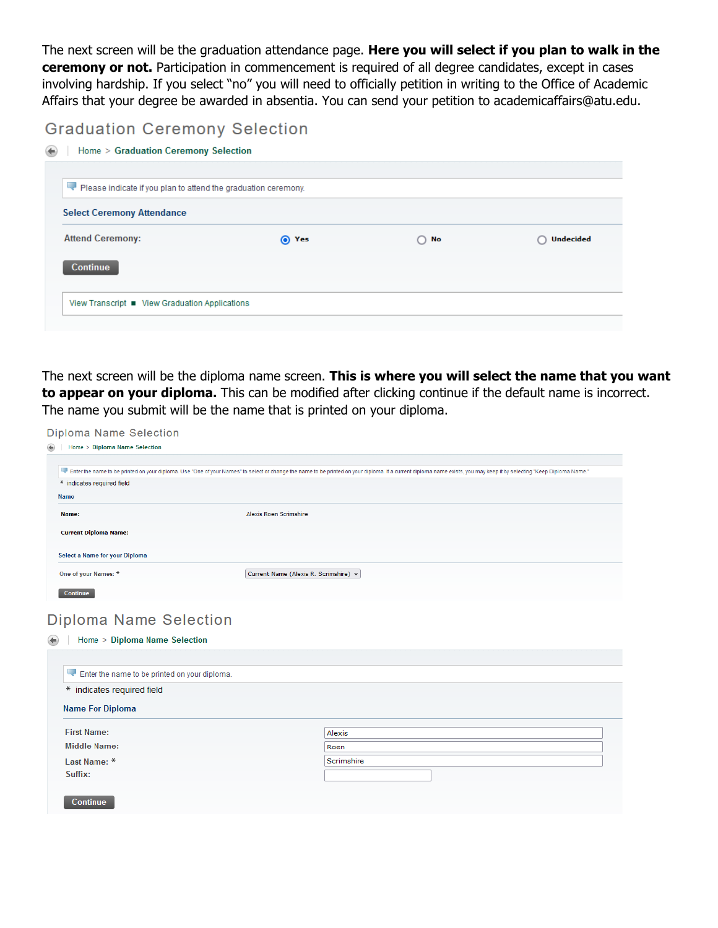The next screen will be the graduation attendance page. **Here you will select if you plan to walk in the ceremony or not.** Participation in commencement is required of all degree candidates, except in cases involving hardship. If you select "no" you will need to officially petition in writing to the Office of Academic Affairs that your degree be awarded in absentia. You can send your petition to academicaffairs@atu.edu.

### **Graduation Ceremony Selection**

| Please indicate if you plan to attend the graduation ceremony. |       |              |                  |
|----------------------------------------------------------------|-------|--------------|------------------|
| <b>Select Ceremony Attendance</b>                              |       |              |                  |
| <b>Attend Ceremony:</b>                                        | O Yes | $\bigcap$ No | <b>Undecided</b> |
| <b>Continue</b>                                                |       |              |                  |
|                                                                |       |              |                  |

The next screen will be the diploma name screen. **This is where you will select the name that you want to appear on your diploma.** This can be modified after clicking continue if the default name is incorrect. The name you submit will be the name that is printed on your diploma.

Diploma Name Selection

| Home > Diploma Name Selection                                               |                                                                                                                                                                                                                      |
|-----------------------------------------------------------------------------|----------------------------------------------------------------------------------------------------------------------------------------------------------------------------------------------------------------------|
|                                                                             | Face the name to be printed on your diploma. Use "One of your Names" to select or change the name to be printed on your diploma. If a current diploma name exists, you may keep it by selecting "Keep Diploma Name." |
| * indicates required field                                                  |                                                                                                                                                                                                                      |
| <b>Name</b>                                                                 |                                                                                                                                                                                                                      |
| Name:                                                                       | Alexis Roen Scrimshire                                                                                                                                                                                               |
| <b>Current Diploma Name:</b>                                                |                                                                                                                                                                                                                      |
| Select a Name for your Diploma                                              |                                                                                                                                                                                                                      |
| One of your Names: *                                                        | Current Name (Alexis R. Scrimshire) v                                                                                                                                                                                |
| Continue                                                                    |                                                                                                                                                                                                                      |
| <b>Diploma Name Selection</b><br>Home > Diploma Name Selection              |                                                                                                                                                                                                                      |
|                                                                             |                                                                                                                                                                                                                      |
| Enter the name to be printed on your diploma.<br>* indicates required field |                                                                                                                                                                                                                      |
| <b>Name For Diploma</b>                                                     |                                                                                                                                                                                                                      |
| <b>First Name:</b>                                                          | Alexis                                                                                                                                                                                                               |
| <b>Middle Name:</b>                                                         | Roen                                                                                                                                                                                                                 |
| Last Name: *                                                                | Scrimshire                                                                                                                                                                                                           |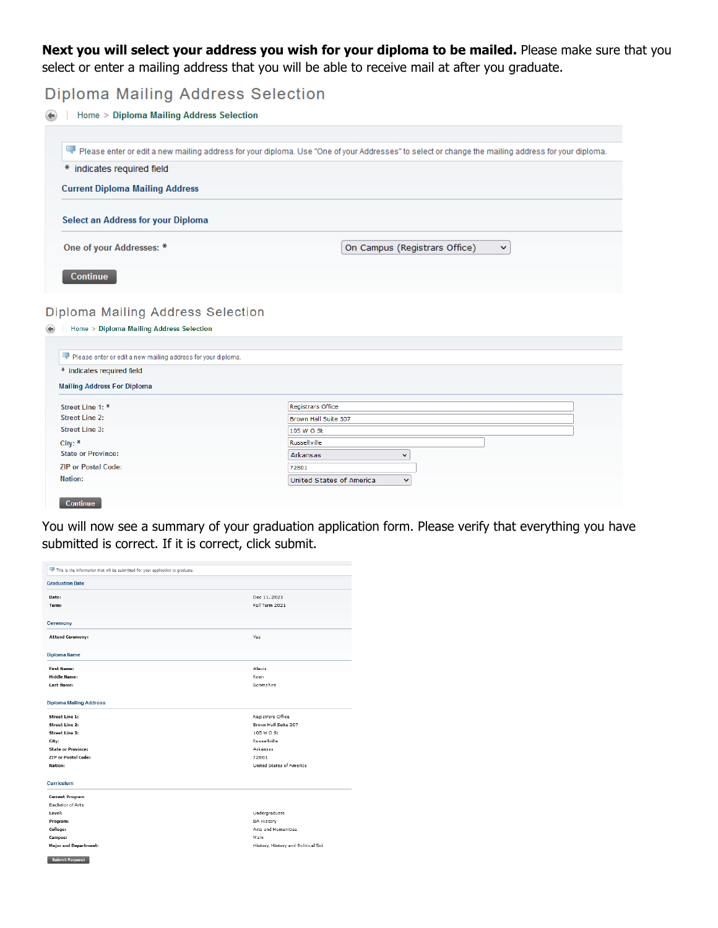**Next you will select your address you wish for your diploma to be mailed.** Please make sure that you select or enter a mailing address that you will be able to receive mail at after you graduate.

**Diploma Mailing Address Selection** 

Home > Diploma Mailing Address Selection

|                                                                               | Please enter or edit a new mailing address for your diploma. Use "One of your Addresses" to select or change the mailing address for your diploma. |
|-------------------------------------------------------------------------------|----------------------------------------------------------------------------------------------------------------------------------------------------|
| * indicates required field                                                    |                                                                                                                                                    |
| <b>Current Diploma Mailing Address</b>                                        |                                                                                                                                                    |
|                                                                               |                                                                                                                                                    |
| Select an Address for your Diploma                                            |                                                                                                                                                    |
| One of your Addresses: *                                                      | On Campus (Registrars Office)<br>$\checkmark$                                                                                                      |
| Continue                                                                      |                                                                                                                                                    |
|                                                                               |                                                                                                                                                    |
| Diploma Mailing Address Selection<br>Home > Diploma Mailing Address Selection |                                                                                                                                                    |
| Please enter or edit a new mailing address for your diploma.                  |                                                                                                                                                    |
| * indicates required field                                                    |                                                                                                                                                    |
| <b>Mailing Address For Diploma</b>                                            |                                                                                                                                                    |
| Street Line 1: *                                                              | <b>Registrars Office</b>                                                                                                                           |
| <b>Street Line 2:</b>                                                         | Brown Hall Suite 307                                                                                                                               |
| Street Line 3:                                                                | 105 W O St                                                                                                                                         |
| City: *                                                                       | <b>Russellville</b>                                                                                                                                |
| <b>State or Province:</b>                                                     | Arkansas<br>$\check{~}$                                                                                                                            |
| <b>ZIP or Postal Code:</b><br><b>Nation:</b>                                  | 72801<br>United States of America                                                                                                                  |

You will now see a summary of your graduation application form. Please verify that everything you have submitted is correct. If it is correct, click submit.

| Dec 11, 2021<br>Date:<br>Fall Term 2021<br>Term:<br>Ceremony<br><b>Attend Ceremony:</b><br>Yes<br>Diploma Name<br>Alexis<br><b>First Name:</b><br><b>Middle Name:</b><br>Roen<br>Scrimshire<br><b>Last Name:</b><br><b>Diploma Mailing Address</b><br>Registrars Office<br><b>Street Line 1:</b><br><b>Street Line 2:</b><br>Brown Hall Suite 307<br><b>Street Line 3:</b><br>105 W O St<br>Russellville<br>City:<br><b>State or Province:</b><br>Arkansas<br>ZIP or Postal Code:<br>72801<br>Nation:<br>United States of America<br>Curriculum<br><b>Current Program</b><br><b>Bachelor of Arts</b><br>Level:<br>Undergraduate<br>Program:<br><b>BA History</b><br>College:<br>Arts and Humanities<br>Campus:<br>Main<br><b>Major and Department:</b> | <b>Graduation Date</b> |                                    |
|--------------------------------------------------------------------------------------------------------------------------------------------------------------------------------------------------------------------------------------------------------------------------------------------------------------------------------------------------------------------------------------------------------------------------------------------------------------------------------------------------------------------------------------------------------------------------------------------------------------------------------------------------------------------------------------------------------------------------------------------------------|------------------------|------------------------------------|
|                                                                                                                                                                                                                                                                                                                                                                                                                                                                                                                                                                                                                                                                                                                                                        |                        |                                    |
|                                                                                                                                                                                                                                                                                                                                                                                                                                                                                                                                                                                                                                                                                                                                                        |                        |                                    |
|                                                                                                                                                                                                                                                                                                                                                                                                                                                                                                                                                                                                                                                                                                                                                        |                        |                                    |
|                                                                                                                                                                                                                                                                                                                                                                                                                                                                                                                                                                                                                                                                                                                                                        |                        |                                    |
|                                                                                                                                                                                                                                                                                                                                                                                                                                                                                                                                                                                                                                                                                                                                                        |                        |                                    |
|                                                                                                                                                                                                                                                                                                                                                                                                                                                                                                                                                                                                                                                                                                                                                        |                        |                                    |
|                                                                                                                                                                                                                                                                                                                                                                                                                                                                                                                                                                                                                                                                                                                                                        |                        |                                    |
|                                                                                                                                                                                                                                                                                                                                                                                                                                                                                                                                                                                                                                                                                                                                                        |                        |                                    |
|                                                                                                                                                                                                                                                                                                                                                                                                                                                                                                                                                                                                                                                                                                                                                        |                        |                                    |
|                                                                                                                                                                                                                                                                                                                                                                                                                                                                                                                                                                                                                                                                                                                                                        |                        |                                    |
|                                                                                                                                                                                                                                                                                                                                                                                                                                                                                                                                                                                                                                                                                                                                                        |                        |                                    |
|                                                                                                                                                                                                                                                                                                                                                                                                                                                                                                                                                                                                                                                                                                                                                        |                        |                                    |
|                                                                                                                                                                                                                                                                                                                                                                                                                                                                                                                                                                                                                                                                                                                                                        |                        |                                    |
|                                                                                                                                                                                                                                                                                                                                                                                                                                                                                                                                                                                                                                                                                                                                                        |                        |                                    |
|                                                                                                                                                                                                                                                                                                                                                                                                                                                                                                                                                                                                                                                                                                                                                        |                        |                                    |
|                                                                                                                                                                                                                                                                                                                                                                                                                                                                                                                                                                                                                                                                                                                                                        |                        |                                    |
|                                                                                                                                                                                                                                                                                                                                                                                                                                                                                                                                                                                                                                                                                                                                                        |                        |                                    |
|                                                                                                                                                                                                                                                                                                                                                                                                                                                                                                                                                                                                                                                                                                                                                        |                        |                                    |
|                                                                                                                                                                                                                                                                                                                                                                                                                                                                                                                                                                                                                                                                                                                                                        |                        |                                    |
|                                                                                                                                                                                                                                                                                                                                                                                                                                                                                                                                                                                                                                                                                                                                                        |                        |                                    |
|                                                                                                                                                                                                                                                                                                                                                                                                                                                                                                                                                                                                                                                                                                                                                        |                        |                                    |
|                                                                                                                                                                                                                                                                                                                                                                                                                                                                                                                                                                                                                                                                                                                                                        |                        |                                    |
|                                                                                                                                                                                                                                                                                                                                                                                                                                                                                                                                                                                                                                                                                                                                                        |                        |                                    |
|                                                                                                                                                                                                                                                                                                                                                                                                                                                                                                                                                                                                                                                                                                                                                        |                        |                                    |
|                                                                                                                                                                                                                                                                                                                                                                                                                                                                                                                                                                                                                                                                                                                                                        |                        | History, History and Political Sci |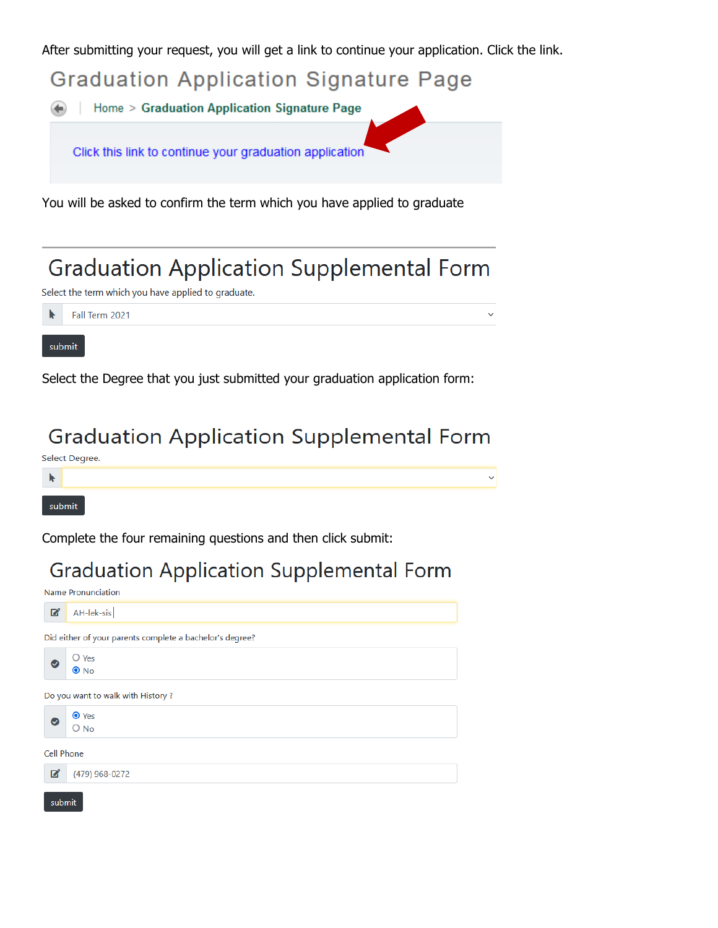After submitting your request, you will get a link to continue your application. Click the link.

**Graduation Application Signature Page** 

Home > Graduation Application Signature Page

Click this link to continue your graduation application

You will be asked to confirm the term which you have applied to graduate

## **Graduation Application Supplemental Form**

 $\checkmark$ 

 $\checkmark$ 

Select the term which you have applied to graduate.

Fall Term 2021

#### submit

Select the Degree that you just submitted your graduation application form:

## **Graduation Application Supplemental Form**

Select Degree.



Complete the four remaining questions and then click submit:

## **Graduation Application Supplemental Form**

Name Pronunciation AH-lek-sis  $\mathbf{z}$ Did either of your parents complete a bachelor's degree?  $\bigcirc$  Yes  $\bullet$  $\bullet$  No Do you want to walk with History?  $\bullet$  Yes  $\bigcirc$  No **Cell Phone** (479) 968-0272 ■ submit